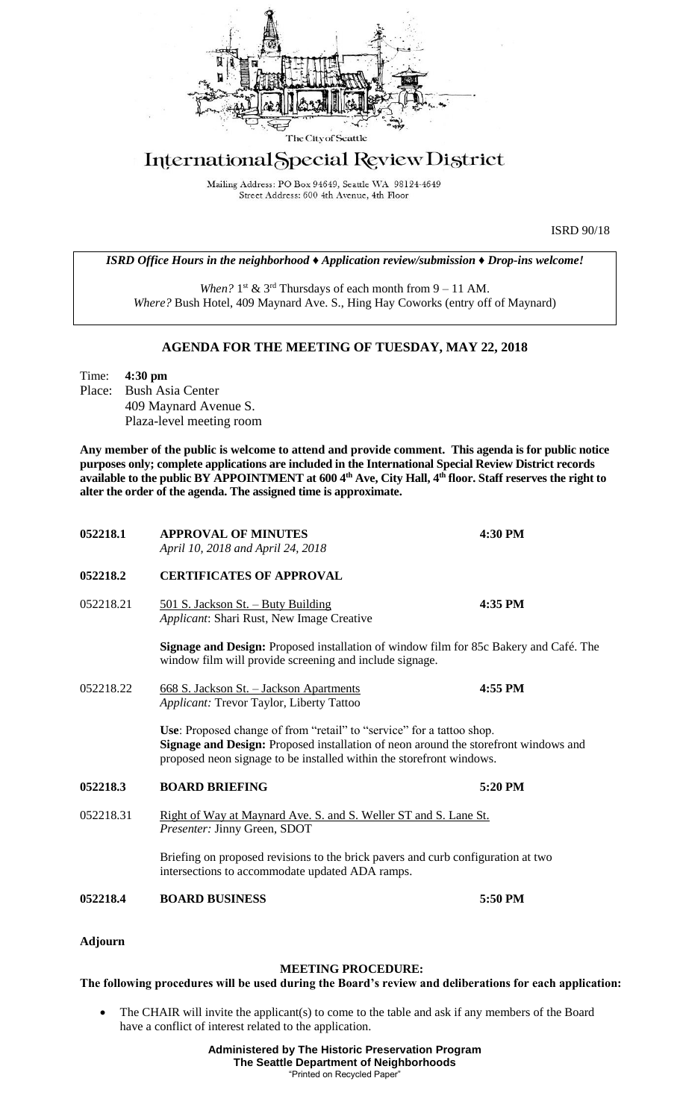

## International Special Review District

Mailing Address: PO Box 94649, Seattle WA 98124-4649 Street Address: 600 4th Avenue, 4th Floor

ISRD 90/18

*ISRD Office Hours in the neighborhood ♦ Application review/submission ♦ Drop-ins welcome!*

When?  $1<sup>st</sup>$  &  $3<sup>rd</sup>$  Thursdays of each month from  $9 - 11$  AM. *Where?* Bush Hotel, 409 Maynard Ave. S., Hing Hay Coworks (entry off of Maynard)

## **AGENDA FOR THE MEETING OF TUESDAY, MAY 22, 2018**

Time: **4:30 pm** Place: Bush Asia Center 409 Maynard Avenue S. Plaza-level meeting room

**Any member of the public is welcome to attend and provide comment. This agenda is for public notice purposes only; complete applications are included in the International Special Review District records available to the public BY APPOINTMENT at 600 4th Ave, City Hall, 4th floor. Staff reserves the right to alter the order of the agenda. The assigned time is approximate.** 

| 052218.1       | <b>APPROVAL OF MINUTES</b><br>April 10, 2018 and April 24, 2018                                                                                                                                                                         | 4:30 PM                                                                             |  |
|----------------|-----------------------------------------------------------------------------------------------------------------------------------------------------------------------------------------------------------------------------------------|-------------------------------------------------------------------------------------|--|
| 052218.2       | <b>CERTIFICATES OF APPROVAL</b>                                                                                                                                                                                                         |                                                                                     |  |
| 052218.21      | 501 S. Jackson St. - Buty Building<br>Applicant: Shari Rust, New Image Creative                                                                                                                                                         | 4:35 PM                                                                             |  |
|                | Signage and Design: Proposed installation of window film for 85c Bakery and Café. The<br>window film will provide screening and include signage.                                                                                        |                                                                                     |  |
| 052218.22      | 668 S. Jackson St. - Jackson Apartments<br>Applicant: Trevor Taylor, Liberty Tattoo                                                                                                                                                     | 4:55 PM                                                                             |  |
|                | Use: Proposed change of from "retail" to "service" for a tattoo shop.<br>proposed neon signage to be installed within the storefront windows.                                                                                           | Signage and Design: Proposed installation of neon around the storefront windows and |  |
| 052218.3       | <b>BOARD BRIEFING</b>                                                                                                                                                                                                                   | 5:20 PM                                                                             |  |
| 052218.31      | Right of Way at Maynard Ave. S. and S. Weller ST and S. Lane St.<br>Presenter: Jinny Green, SDOT<br>Briefing on proposed revisions to the brick pavers and curb configuration at two<br>intersections to accommodate updated ADA ramps. |                                                                                     |  |
|                |                                                                                                                                                                                                                                         |                                                                                     |  |
| 052218.4       | <b>BOARD BUSINESS</b>                                                                                                                                                                                                                   | 5:50 PM                                                                             |  |
| <b>Adjourn</b> |                                                                                                                                                                                                                                         |                                                                                     |  |

## **MEETING PROCEDURE:**

## **The following procedures will be used during the Board's review and deliberations for each application:**

The CHAIR will invite the applicant(s) to come to the table and ask if any members of the Board have a conflict of interest related to the application.

> **Administered by The Historic Preservation Program The Seattle Department of Neighborhoods** "Printed on Recycled Paper"